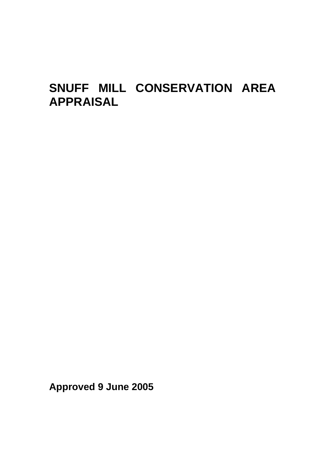# **SNUFF MILL CONSERVATION AREA APPRAISAL**

**Approved 9 June 2005**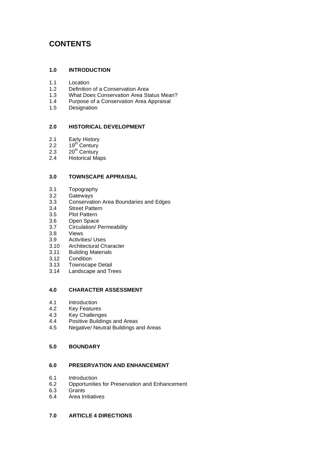# **CONTENTS**

# **1.0 INTRODUCTION**

- 1.1 Location
- 1.2 Definition of a Conservation Area
- 1.3 What Does Conservation Area Status Mean?
- 1.4 Purpose of a Conservation Area Appraisal
- 1.5 Designation

### **2.0 HISTORICAL DEVELOPMENT**

- 2.1 Early History
- 2.2  $19<sup>th</sup>$  Century
- $2.3$   $20^{th}$  Century
- 2.4 Historical Maps

#### **3.0 TOWNSCAPE APPRAISAL**

- 3.1 Topography<br>3.2 Gateways
- Gateways
- 3.3 Conservation Area Boundaries and Edges
- 3.4 Street Pattern
- 3.5 Plot Pattern
- 3.6 Open Space
- 3.7 Circulation/ Permeability
- 3.8 Views
- 3.9 Activities/ Uses<br>3.10 Architectural Ch
- Architectural Character
- 3.11 Building Materials
- 3.12 Condition
- 3.13 Townscape Detail
- 3.14 Landscape and Trees

# **4.0 CHARACTER ASSESSMENT**

- 4.1 Introduction<br>4.2 Key Features
- **Key Features**
- 4.3 Key Challenges<br>4.4 Positive Building
- 4.4 Positive Buildings and Areas<br>4.5 Negative/ Neutral Buildings a
- 4.5 Negative/ Neutral Buildings and Areas

#### **5.0 BOUNDARY**

# **6.0 PRESERVATION AND ENHANCEMENT**

- 6.1 Introduction
- 6.2 Opportunities for Preservation and Enhancement
- 6.3 Grants
- 6.4 Area Initiatives

# **7.0 ARTICLE 4 DIRECTIONS**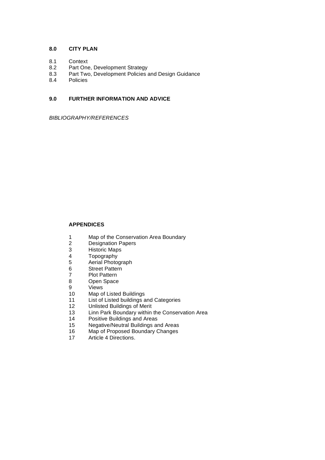# **8.0 CITY PLAN**

- 8.1 Context
- 8.2 Part One, Development Strategy
- 8.3 Part Two, Development Policies and Design Guidance
- 8.4 Policies

# **9.0 FURTHER INFORMATION AND ADVICE**

*BIBLIOGRAPHY/REFERENCES* 

# **APPENDICES**

- 1 Map of the Conservation Area Boundary<br>2 Designation Papers
- 2 Designation Papers<br>3 Historic Maps
- 3 Historic Maps
- 4 Topography<br>5 Aerial Photo
- Aerial Photograph
- 6 Street Pattern
- 7 Plot Pattern<br>8 Open Space
- Open Space
- 9 Views
- 10 Map of Listed Buildings
- 11 List of Listed buildings and Categories
- 12 Unlisted Buildings of Merit
- 13 Linn Park Boundary within the Conservation Area
- 14 Positive Buildings and Areas
- 15 Negative/Neutral Buildings and Areas
- 16 Map of Proposed Boundary Changes<br>17 Article 4 Directions.
- Article 4 Directions.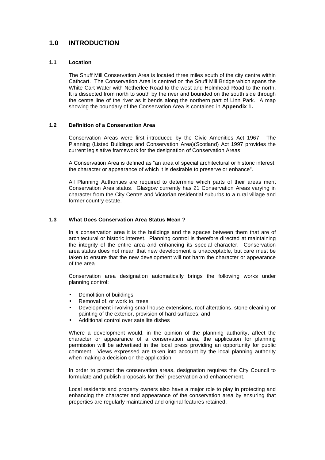# **1.0 INTRODUCTION**

# **1.1 Location**

The Snuff Mill Conservation Area is located three miles south of the city centre within Cathcart. The Conservation Area is centred on the Snuff Mill Bridge which spans the White Cart Water with Netherlee Road to the west and Holmhead Road to the north. It is dissected from north to south by the river and bounded on the south side through the centre line of the river as it bends along the northern part of Linn Park. A map showing the boundary of the Conservation Area is contained in **Appendix 1.** 

# **1.2 Definition of a Conservation Area**

Conservation Areas were first introduced by the Civic Amenities Act 1967. The Planning (Listed Buildings and Conservation Area)(Scotland) Act 1997 provides the current legislative framework for the designation of Conservation Areas.

A Conservation Area is defined as "an area of special architectural or historic interest, the character or appearance of which it is desirable to preserve or enhance".

All Planning Authorities are required to determine which parts of their areas merit Conservation Area status. Glasgow currently has 21 Conservation Areas varying in character from the City Centre and Victorian residential suburbs to a rural village and former country estate.

# **1.3 What Does Conservation Area Status Mean ?**

In a conservation area it is the buildings and the spaces between them that are of architectural or historic interest. Planning control is therefore directed at maintaining the integrity of the entire area and enhancing its special character. Conservation area status does not mean that new development is unacceptable, but care must be taken to ensure that the new development will not harm the character or appearance of the area.

Conservation area designation automatically brings the following works under planning control:

- Demolition of buildings
- Removal of, or work to, trees
- Development involving small house extensions, roof alterations, stone cleaning or painting of the exterior, provision of hard surfaces, and
- Additional control over satellite dishes

Where a development would, in the opinion of the planning authority, affect the character or appearance of a conservation area, the application for planning permission will be advertised in the local press providing an opportunity for public comment. Views expressed are taken into account by the local planning authority when making a decision on the application.

In order to protect the conservation areas, designation requires the City Council to formulate and publish proposals for their preservation and enhancement.

Local residents and property owners also have a major role to play in protecting and enhancing the character and appearance of the conservation area by ensuring that properties are regularly maintained and original features retained.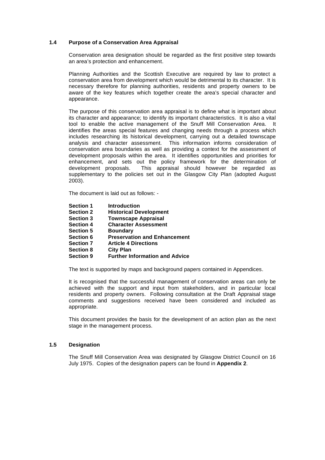# **1.4 Purpose of a Conservation Area Appraisal**

Conservation area designation should be regarded as the first positive step towards an area's protection and enhancement.

Planning Authorities and the Scottish Executive are required by law to protect a conservation area from development which would be detrimental to its character. It is necessary therefore for planning authorities, residents and property owners to be aware of the key features which together create the area's special character and appearance.

The purpose of this conservation area appraisal is to define what is important about its character and appearance; to identify its important characteristics. It is also a vital tool to enable the active management of the Snuff Mill Conservation Area. It identifies the areas special features and changing needs through a process which includes researching its historical development, carrying out a detailed townscape analysis and character assessment. This information informs consideration of conservation area boundaries as well as providing a context for the assessment of development proposals within the area. It identifies opportunities and priorities for enhancement, and sets out the policy framework for the determination of development proposals. This appraisal should however be regarded as supplementary to the policies set out in the Glasgow City Plan (adopted August 2003).

The document is laid out as follows: -

- **Section 1** Introduction<br> **Section 2** Historical De
- **Historical Development**
- **Section 3 Townscape Appraisal<br>
Section 4 Character Assessmen**
- **Section 4 Character Assessment**
- **Section 5 Boundary**
- **Section 6 Preservation and Enhancement**
- **Section 7 Article 4 Directions**
- **Section 8 City Plan**
- **Section 9 Further Information and Advice**

The text is supported by maps and background papers contained in Appendices.

It is recognised that the successful management of conservation areas can only be achieved with the support and input from stakeholders, and in particular local residents and property owners. Following consultation at the Draft Appraisal stage comments and suggestions received have been considered and included as appropriate.

This document provides the basis for the development of an action plan as the next stage in the management process.

#### **1.5 Designation**

The Snuff Mill Conservation Area was designated by Glasgow District Council on 16 July 1975. Copies of the designation papers can be found in **Appendix 2**.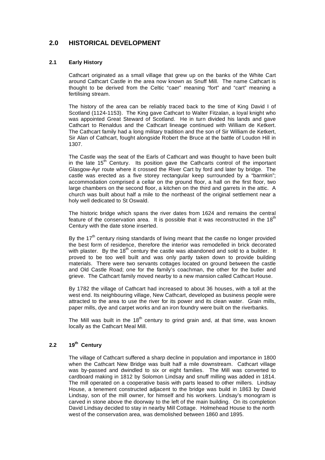# **2.0 HISTORICAL DEVELOPMENT**

# **2.1 Early History**

Cathcart originated as a small village that grew up on the banks of the White Cart around Cathcart Castle in the area now known as Snuff Mill. The name Cathcart is thought to be derived from the Celtic "caer" meaning "fort" and "cart" meaning a fertilising stream.

The history of the area can be reliably traced back to the time of King David I of Scotland (1124-1153). The King gave Cathcart to Walter Fitzalan, a loyal knight who was appointed Great Steward of Scotland. He in turn divided his lands and gave Cathcart to Renaldus and the Cathcart lineage continued with William de Ketkert. The Cathcart family had a long military tradition and the son of Sir William de Ketkert, Sir Alan of Cathcart, fought alongside Robert the Bruce at the battle of Loudon Hill in 1307.

The Castle was the seat of the Earls of Cathcart and was thought to have been built in the late  $15<sup>th</sup>$  Century. Its position gave the Cathcarts control of the important Glasgow-Ayr route where it crossed the River Cart by ford and later by bridge. The castle was erected as a five storey rectangular keep surrounded by a "barmkin"; accommodation comprised a cellar on the ground floor, a hall on the first floor, two large chambers on the second floor, a kitchen on the third and garrets in the attic. A church was built about half a mile to the northeast of the original settlement near a holy well dedicated to St Oswald.

The historic bridge which spans the river dates from 1624 and remains the central feature of the conservation area. It is possible that it was reconstructed in the  $18<sup>th</sup>$ Century with the date stone inserted.

By the  $17<sup>th</sup>$  century rising standards of living meant that the castle no longer provided the best form of residence, therefore the interior was remodelled in brick decorated with plaster. By the  $18<sup>th</sup>$  century the castle was abandoned and sold to a builder. It proved to be too well built and was only partly taken down to provide building materials. There were two servants cottages located on ground between the castle and Old Castle Road; one for the family's coachman, the other for the butler and grieve. The Cathcart family moved nearby to a new mansion called Cathcart House.

By 1782 the village of Cathcart had increased to about 36 houses, with a toll at the west end. Its neighbouring village, New Cathcart, developed as business people were attracted to the area to use the river for its power and its clean water. Grain mills, paper mills, dye and carpet works and an iron foundry were built on the riverbanks.

The Mill was built in the  $18<sup>th</sup>$  century to grind grain and, at that time, was known locally as the Cathcart Meal Mill.

# **2.2 19th Century**

The village of Cathcart suffered a sharp decline in population and importance in 1800 when the Cathcart New Bridge was built half a mile downstream. Cathcart village was by-passed and dwindled to six or eight families. The Mill was converted to cardboard making in 1812 by Solomon Lindsay and snuff milling was added in 1814. The mill operated on a cooperative basis with parts leased to other millers. Lindsay House, a tenement constructed adjacent to the bridge was build in 1863 by David Lindsay, son of the mill owner, for himself and his workers. Lindsay's monogram is carved in stone above the doorway to the left of the main building. On its completion David Lindsay decided to stay in nearby Mill Cottage. Holmehead House to the north west of the conservation area, was demolished between 1860 and 1895.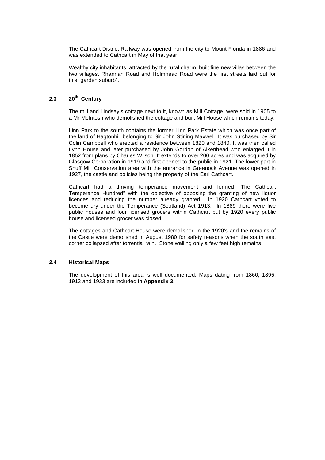The Cathcart District Railway was opened from the city to Mount Florida in 1886 and was extended to Cathcart in May of that year.

Wealthy city inhabitants, attracted by the rural charm, built fine new villas between the two villages. Rhannan Road and Holmhead Road were the first streets laid out for this "garden suburb".

# **2.3 20th Century**

The mill and Lindsay's cottage next to it, known as Mill Cottage, were sold in 1905 to a Mr McIntosh who demolished the cottage and built Mill House which remains today.

Linn Park to the south contains the former Linn Park Estate which was once part of the land of Hagtonhill belonging to Sir John Stirling Maxwell. It was purchased by Sir Colin Campbell who erected a residence between 1820 and 1840. It was then called Lynn House and later purchased by John Gordon of Aikenhead who enlarged it in 1852 from plans by Charles Wilson. It extends to over 200 acres and was acquired by Glasgow Corporation in 1919 and first opened to the public in 1921. The lower part in Snuff Mill Conservation area with the entrance in Greenock Avenue was opened in 1927, the castle and policies being the property of the Earl Cathcart.

Cathcart had a thriving temperance movement and formed "The Cathcart Temperance Hundred" with the objective of opposing the granting of new liquor licences and reducing the number already granted. In 1920 Cathcart voted to become dry under the Temperance (Scotland) Act 1913. In 1889 there were five public houses and four licensed grocers within Cathcart but by 1920 every public house and licensed grocer was closed.

The cottages and Cathcart House were demolished in the 1920's and the remains of the Castle were demolished in August 1980 for safety reasons when the south east corner collapsed after torrential rain. Stone walling only a few feet high remains.

#### **2.4 Historical Maps**

The development of this area is well documented. Maps dating from 1860, 1895, 1913 and 1933 are included in **Appendix 3.**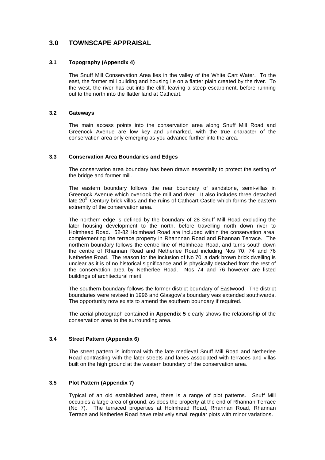# **3.0 TOWNSCAPE APPRAISAL**

# **3.1 Topography (Appendix 4)**

The Snuff Mill Conservation Area lies in the valley of the White Cart Water. To the east, the former mill building and housing lie on a flatter plain created by the river. To the west, the river has cut into the cliff, leaving a steep escarpment, before running out to the north into the flatter land at Cathcart.

### **3.2 Gateways**

The main access points into the conservation area along Snuff Mill Road and Greenock Avenue are low key and unmarked, with the true character of the conservation area only emerging as you advance further into the area.

# **3.3 Conservation Area Boundaries and Edges**

The conservation area boundary has been drawn essentially to protect the setting of the bridge and former mill.

The eastern boundary follows the rear boundary of sandstone, semi-villas in Greenock Avenue which overlook the mill and river. It also includes three detached late  $20<sup>th</sup>$  Century brick villas and the ruins of Cathcart Castle which forms the eastern extremity of the conservation area.

The northern edge is defined by the boundary of 28 Snuff Mill Road excluding the later housing development to the north, before travelling north down river to Holmhead Road. 52-82 Holmhead Road are included within the conservation area, complementing the terrace property in Rhannnan Road and Rhannan Terrace. The northern boundary follows the centre line of Holmhead Road, and turns south down the centre of Rhannan Road and Netherlee Road including Nos 70, 74 and 76 Netherlee Road. The reason for the inclusion of No 70, a dark brown brick dwelling is unclear as it is of no historical significance and is physically detached from the rest of the conservation area by Netherlee Road. Nos 74 and 76 however are listed buildings of architectural merit.

The southern boundary follows the former district boundary of Eastwood. The district boundaries were revised in 1996 and Glasgow's boundary was extended southwards. The opportunity now exists to amend the southern boundary if required.

The aerial photograph contained in **Appendix 5** clearly shows the relationship of the conservation area to the surrounding area.

#### **3.4 Street Pattern (Appendix 6)**

The street pattern is informal with the late medieval Snuff Mill Road and Netherlee Road contrasting with the later streets and lanes associated with terraces and villas built on the high ground at the western boundary of the conservation area.

# **3.5 Plot Pattern (Appendix 7)**

Typical of an old established area, there is a range of plot patterns. Snuff Mill occupies a large area of ground, as does the property at the end of Rhannan Terrace (No 7). The terraced properties at Holmhead Road, Rhannan Road, Rhannan Terrace and Netherlee Road have relatively small regular plots with minor variations.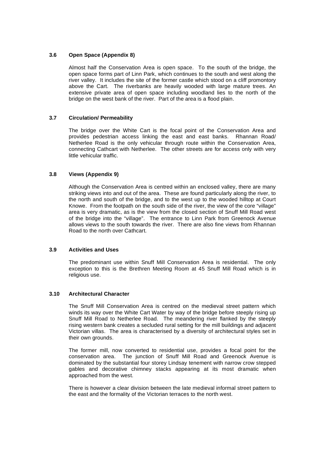# **3.6 Open Space (Appendix 8)**

Almost half the Conservation Area is open space. To the south of the bridge, the open space forms part of Linn Park, which continues to the south and west along the river valley. It includes the site of the former castle which stood on a cliff promontory above the Cart. The riverbanks are heavily wooded with large mature trees. An extensive private area of open space including woodland lies to the north of the bridge on the west bank of the river. Part of the area is a flood plain.

# **3.7 Circulation/ Permeability**

The bridge over the White Cart is the focal point of the Conservation Area and provides pedestrian access linking the east and east banks. Rhannan Road/ Netherlee Road is the only vehicular through route within the Conservation Area, connecting Cathcart with Netherlee. The other streets are for access only with very little vehicular traffic.

# **3.8 Views (Appendix 9)**

Although the Conservation Area is centred within an enclosed valley, there are many striking views into and out of the area. These are found particularly along the river, to the north and south of the bridge, and to the west up to the wooded hilltop at Court Knowe. From the footpath on the south side of the river, the view of the core "village" area is very dramatic, as is the view from the closed section of Snuff Mill Road west of the bridge into the "village". The entrance to Linn Park from Greenock Avenue allows views to the south towards the river. There are also fine views from Rhannan Road to the north over Cathcart.

#### **3.9 Activities and Uses**

The predominant use within Snuff Mill Conservation Area is residential. The only exception to this is the Brethren Meeting Room at 45 Snuff Mill Road which is in religious use.

# **3.10 Architectural Character**

The Snuff Mill Conservation Area is centred on the medieval street pattern which winds its way over the White Cart Water by way of the bridge before steeply rising up Snuff Mill Road to Netherlee Road. The meandering river flanked by the steeply rising western bank creates a secluded rural setting for the mill buildings and adjacent Victorian villas. The area is characterised by a diversity of architectural styles set in their own grounds.

The former mill, now converted to residential use, provides a focal point for the conservation area. The junction of Snuff Mill Road and Greenock Avenue is dominated by the substantial four storey Lindsay tenement with narrow crow stepped gables and decorative chimney stacks appearing at its most dramatic when approached from the west.

There is however a clear division between the late medieval informal street pattern to the east and the formality of the Victorian terraces to the north west.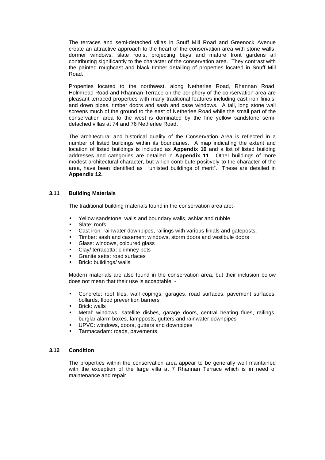The terraces and semi-detached villas in Snuff Mill Road and Greenock Avenue create an attractive approach to the heart of the conservation area with stone walls, dormer windows, slate roofs, projecting bays and mature front gardens all contributing significantly to the character of the conservation area. They contrast with the painted roughcast and black timber detailing of properties located in Snuff Mill Road.

Properties located to the northwest, along Netherlee Road, Rhannan Road, Holmhead Road and Rhannan Terrace on the periphery of the conservation area are pleasant terraced properties with many traditional features including cast iron finials, and down pipes, timber doors and sash and case windows. A tall, long stone wall screens much of the ground to the east of Netherlee Road while the small part of the conservation area to the west is dominated by the fine yellow sandstone semidetached villas at 74 and 76 Netherlee Road.

 The architectural and historical quality of the Conservation Area is reflected in a number of listed buildings within its boundaries. A map indicating the extent and location of listed buildings is included as **Appendix 10** and a list of listed building addresses and categories are detailed in **Appendix 11**. Other buildings of more modest architectural character, but which contribute positively to the character of the area, have been identified as "unlisted buildings of merit". These are detailed in **Appendix 12.**

# **3.11 Building Materials**

The traditional building materials found in the conservation area are:-

- Yellow sandstone: walls and boundary walls, ashlar and rubble
- Slate: roofs
- Cast iron: rainwater downpipes, railings with various finials and gateposts.
- Timber: sash and casement windows, storm doors and vestibule doors
- Glass: windows, coloured glass
- Clay/ terracotta: chimney pots
- Granite setts: road surfaces
- Brick: buildings/ walls

Modern materials are also found in the conservation area, but their inclusion below does not mean that their use is acceptable: -

- Concrete: roof tiles, wall copings, garages, road surfaces, pavement surfaces, bollards, flood prevention barriers
- Brick: walls
- Metal: windows, satellite dishes, garage doors, central heating flues, railings, burglar alarm boxes, lampposts, gutters and rainwater downpipes
- UPVC: windows, doors, gutters and downpipes
- Tarmacadam: roads, pavements

#### **3.12 Condition**

The properties within the conservation area appear to be generally well maintained with the exception of the large villa at 7 Rhannan Terrace which is in need of maintenance and repair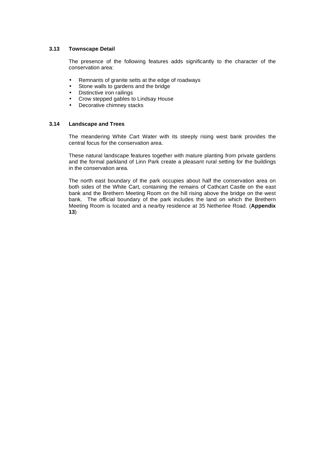# **3.13 Townscape Detail**

The presence of the following features adds significantly to the character of the conservation area:

- Remnants of granite setts at the edge of roadways
- Stone walls to gardens and the bridge
- Distinctive iron railings
- Crow stepped gables to Lindsay House
- Decorative chimney stacks

#### **3.14 Landscape and Trees**

The meandering White Cart Water with its steeply rising west bank provides the central focus for the conservation area.

These natural landscape features together with mature planting from private gardens and the formal parkland of Linn Park create a pleasant rural setting for the buildings in the conservation area.

The north east boundary of the park occupies about half the conservation area on both sides of the White Cart, containing the remains of Cathcart Castle on the east bank and the Brethern Meeting Room on the hill rising above the bridge on the west bank. The official boundary of the park includes the land on which the Brethern Meeting Room is located and a nearby residence at 35 Netherlee Road. (**Appendix 13**)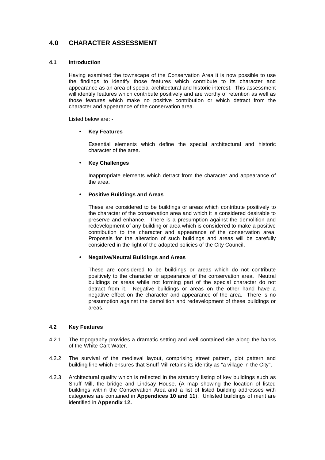# **4.0 CHARACTER ASSESSMENT**

### **4.1 Introduction**

Having examined the townscape of the Conservation Area it is now possible to use the findings to identify those features which contribute to its character and appearance as an area of special architectural and historic interest. This assessment will identify features which contribute positively and are worthy of retention as well as those features which make no positive contribution or which detract from the character and appearance of the conservation area.

Listed below are: -

#### • **Key Features**

 Essential elements which define the special architectural and historic character of the area.

#### • **Key Challenges**

 Inappropriate elements which detract from the character and appearance of the area.

### • **Positive Buildings and Areas**

These are considered to be buildings or areas which contribute positively to the character of the conservation area and which it is considered desirable to preserve and enhance. There is a presumption against the demolition and redevelopment of any building or area which is considered to make a positive contribution to the character and appearance of the conservation area. Proposals for the alteration of such buildings and areas will be carefully considered in the light of the adopted policies of the City Council.

#### • **Negative/Neutral Buildings and Areas**

These are considered to be buildings or areas which do not contribute positively to the character or appearance of the conservation area. Neutral buildings or areas while not forming part of the special character do not detract from it. Negative buildings or areas on the other hand have a negative effect on the character and appearance of the area. There is no presumption against the demolition and redevelopment of these buildings or areas.

#### **4.2 Key Features**

- 4.2.1 The topography provides a dramatic setting and well contained site along the banks of the White Cart Water.
- 4.2.2 The survival of the medieval layout, comprising street pattern, plot pattern and building line which ensures that Snuff Mill retains its identity as "a village in the City".
- 4.2.3 Architectural quality which is reflected in the statutory listing of key buildings such as Snuff Mill, the bridge and Lindsay House. (A map showing the location of listed buildings within the Conservation Area and a list of listed building addresses with categories are contained in **Appendices 10 and 11**). Unlisted buildings of merit are identified in **Appendix 12.**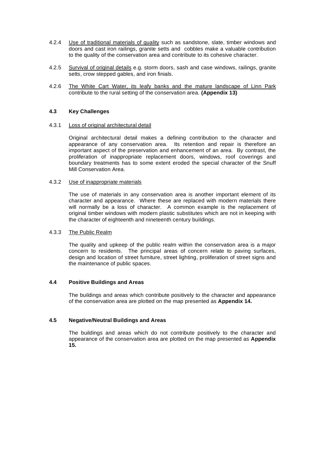- 4.2.4 Use of traditional materials of quality such as sandstone, slate, timber windows and doors and cast iron railings, granite setts and cobbles make a valuable contribution to the quality of the conservation area and contribute to its cohesive character.
- 4.2.5 Survival of original details e.g. storm doors, sash and case windows, railings, granite setts, crow stepped gables, and iron finials.
- 4.2.6 The White Cart Water, its leafy banks and the mature landscape of Linn Park contribute to the rural setting of the conservation area. **(Appendix 13)**

#### **4.3 Key Challenges**

#### 4.3.1 Loss of original architectural detail

Original architectural detail makes a defining contribution to the character and appearance of any conservation area. Its retention and repair is therefore an important aspect of the preservation and enhancement of an area. By contrast, the proliferation of inappropriate replacement doors, windows, roof coverings and boundary treatments has to some extent eroded the special character of the Snuff Mill Conservation Area.

#### 4.3.2 Use of inappropriate materials

The use of materials in any conservation area is another important element of its character and appearance. Where these are replaced with modern materials there will normally be a loss of character. A common example is the replacement of original timber windows with modern plastic substitutes which are not in keeping with the character of eighteenth and nineteenth century buildings.

#### 4.3.3 The Public Realm

The quality and upkeep of the public realm within the conservation area is a major concern to residents. The principal areas of concern relate to paving surfaces, design and location of street furniture, street lighting, proliferation of street signs and the maintenance of public spaces.

#### **4.4 Positive Buildings and Areas**

The buildings and areas which contribute positively to the character and appearance of the conservation area are plotted on the map presented as **Appendix 14.**

#### **4.5 Negative/Neutral Buildings and Areas**

The buildings and areas which do not contribute positively to the character and appearance of the conservation area are plotted on the map presented as **Appendix 15.**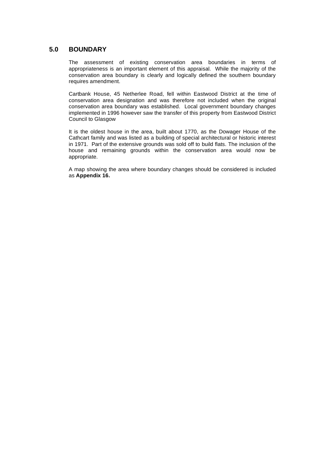# **5.0 BOUNDARY**

The assessment of existing conservation area boundaries in terms of appropriateness is an important element of this appraisal. While the majority of the conservation area boundary is clearly and logically defined the southern boundary requires amendment.

Cartbank House, 45 Netherlee Road, fell within Eastwood District at the time of conservation area designation and was therefore not included when the original conservation area boundary was established. Local government boundary changes implemented in 1996 however saw the transfer of this property from Eastwood District Council to Glasgow

It is the oldest house in the area, built about 1770, as the Dowager House of the Cathcart family and was listed as a building of special architectural or historic interest in 1971. Part of the extensive grounds was sold off to build flats. The inclusion of the house and remaining grounds within the conservation area would now be appropriate.

A map showing the area where boundary changes should be considered is included as **Appendix 16.**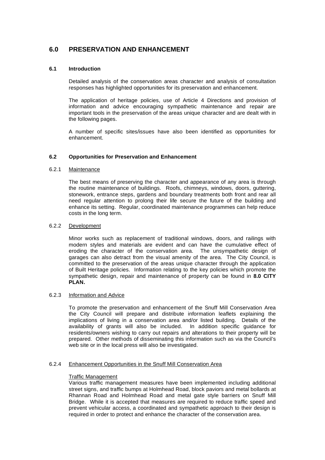# **6.0 PRESERVATION AND ENHANCEMENT**

# **6.1 Introduction**

 Detailed analysis of the conservation areas character and analysis of consultation responses has highlighted opportunities for its preservation and enhancement.

The application of heritage policies, use of Article 4 Directions and provision of information and advice encouraging sympathetic maintenance and repair are important tools in the preservation of the areas unique character and are dealt with in the following pages.

A number of specific sites/issues have also been identified as opportunities for enhancement.

# **6.2 Opportunities for Preservation and Enhancement**

#### 6.2.1 Maintenance

The best means of preserving the character and appearance of any area is through the routine maintenance of buildings. Roofs, chimneys, windows, doors, guttering, stonework, entrance steps, gardens and boundary treatments both front and rear all need regular attention to prolong their life secure the future of the building and enhance its setting. Regular, coordinated maintenance programmes can help reduce costs in the long term.

#### 6.2.2 Development

Minor works such as replacement of traditional windows, doors, and railings with modern styles and materials are evident and can have the cumulative effect of eroding the character of the conservation area. The unsympathetic design of garages can also detract from the visual amenity of the area. The City Council, is committed to the preservation of the areas unique character through the application of Built Heritage policies. Information relating to the key policies which promote the sympathetic design, repair and maintenance of property can be found in **8.0 CITY PLAN.** 

#### 6.2.3 Information and Advice

To promote the preservation and enhancement of the Snuff Mill Conservation Area the City Council will prepare and distribute information leaflets explaining the implications of living in a conservation area and/or listed building. Details of the availability of grants will also be included. In addition specific guidance for residents/owners wishing to carry out repairs and alterations to their property will be prepared. Other methods of disseminating this information such as via the Council's web site or in the local press will also be investigated.

#### 6.2.4 Enhancement Opportunities in the Snuff Mill Conservation Area

#### Traffic Management

Various traffic management measures have been implemented including additional street signs, and traffic bumps at Holmhead Road, block paviors and metal bollards at Rhannan Road and Holmhead Road and metal gate style barriers on Snuff Mill Bridge. While it is accepted that measures are required to reduce traffic speed and prevent vehicular access, a coordinated and sympathetic approach to their design is required in order to protect and enhance the character of the conservation area.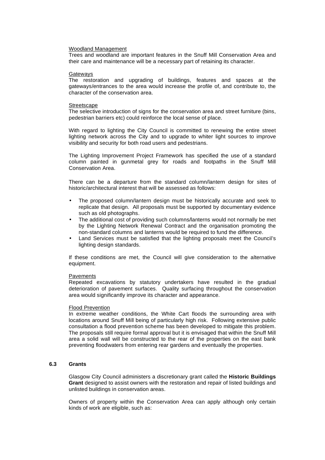#### Woodland Management

Trees and woodland are important features in the Snuff Mill Conservation Area and their care and maintenance will be a necessary part of retaining its character.

#### Gateways

The restoration and upgrading of buildings, features and spaces at the gateways/entrances to the area would increase the profile of, and contribute to, the character of the conservation area.

#### **Streetscape**

The selective introduction of signs for the conservation area and street furniture (bins, pedestrian barriers etc) could reinforce the local sense of place.

With regard to lighting the City Council is committed to renewing the entire street lighting network across the City and to upgrade to whiter light sources to improve visibility and security for both road users and pedestrians.

The Lighting Improvement Project Framework has specified the use of a standard column painted in gunmetal grey for roads and footpaths in the Snuff Mill Conservation Area.

There can be a departure from the standard column/lantern design for sites of historic/architectural interest that will be assessed as follows:

- The proposed column/lantern design must be historically accurate and seek to replicate that design. All proposals must be supported by documentary evidence such as old photographs.
- The additional cost of providing such columns/lanterns would not normally be met by the Lighting Network Renewal Contract and the organisation promoting the non-standard columns and lanterns would be required to fund the difference.
- Land Services must be satisfied that the lighting proposals meet the Council's lighting design standards.

If these conditions are met, the Council will give consideration to the alternative equipment.

#### Pavements

Repeated excavations by statutory undertakers have resulted in the gradual deterioration of pavement surfaces. Quality surfacing throughout the conservation area would significantly improve its character and appearance.

#### Flood Prevention

In extreme weather conditions, the White Cart floods the surrounding area with locations around Snuff Mill being of particularly high risk. Following extensive public consultation a flood prevention scheme has been developed to mitigate this problem. The proposals still require formal approval but it is envisaged that within the Snuff Mill area a solid wall will be constructed to the rear of the properties on the east bank preventing floodwaters from entering rear gardens and eventually the properties.

#### **6.3 Grants**

Glasgow City Council administers a discretionary grant called the **Historic Buildings Grant** designed to assist owners with the restoration and repair of listed buildings and unlisted buildings in conservation areas.

Owners of property within the Conservation Area can apply although only certain kinds of work are eligible, such as: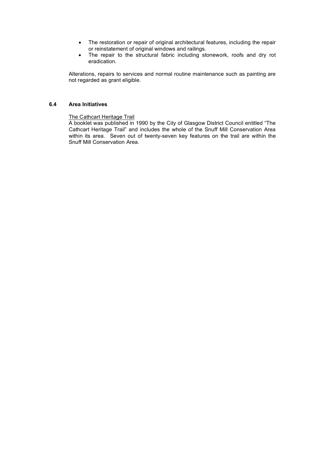- The restoration or repair of original architectural features, including the repair or reinstatement of original windows and railings.
- The repair to the structural fabric including stonework, roofs and dry rot eradication.

Alterations, repairs to services and normal routine maintenance such as painting are not regarded as grant eligible.

# **6.4 Area Initiatives**

The Cathcart Heritage Trail

A booklet was published in 1990 by the City of Glasgow District Council entitled "The Cathcart Heritage Trail" and includes the whole of the Snuff Mill Conservation Area within its area. Seven out of twenty-seven key features on the trail are within the Snuff Mill Conservation Area.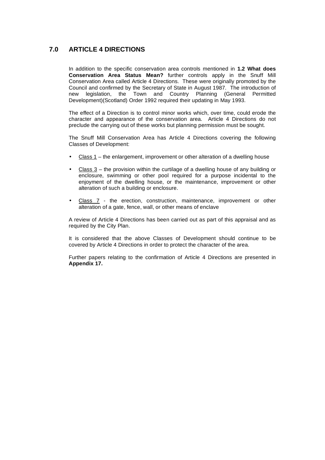# **7.0 ARTICLE 4 DIRECTIONS**

In addition to the specific conservation area controls mentioned in **1.2 What does Conservation Area Status Mean?** further controls apply in the Snuff Mill Conservation Area called Article 4 Directions. These were originally promoted by the Council and confirmed by the Secretary of State in August 1987. The introduction of new legislation, the Town and Country Planning (General Permitted Development)(Scotland) Order 1992 required their updating in May 1993.

The effect of a Direction is to control minor works which, over time, could erode the character and appearance of the conservation area. Article 4 Directions do not preclude the carrying out of these works but planning permission must be sought.

The Snuff Mill Conservation Area has Article 4 Directions covering the following Classes of Development:

- Class 1 the enlargement, improvement or other alteration of a dwelling house
- Class  $3$  the provision within the curtilage of a dwelling house of any building or enclosure, swimming or other pool required for a purpose incidental to the enjoyment of the dwelling house, or the maintenance, improvement or other alteration of such a building or enclosure.
- Class 7 the erection, construction, maintenance, improvement or other alteration of a gate, fence, wall, or other means of enclave

A review of Article 4 Directions has been carried out as part of this appraisal and as required by the City Plan.

It is considered that the above Classes of Development should continue to be covered by Article 4 Directions in order to protect the character of the area.

Further papers relating to the confirmation of Article 4 Directions are presented in **Appendix 17.**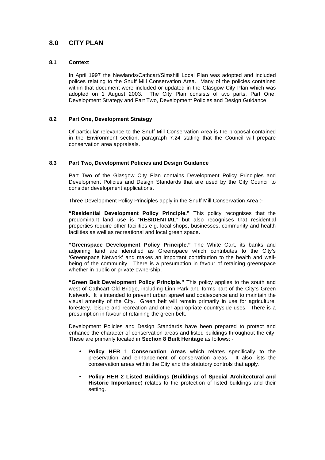# **8.0 CITY PLAN**

# **8.1 Context**

In April 1997 the Newlands/Cathcart/Simshill Local Plan was adopted and included polices relating to the Snuff Mill Conservation Area. Many of the policies contained within that document were included or updated in the Glasgow City Plan which was adopted on 1 August 2003. The City Plan consists of two parts, Part One, Development Strategy and Part Two, Development Policies and Design Guidance

# **8.2 Part One, Development Strategy**

Of particular relevance to the Snuff Mill Conservation Area is the proposal contained in the Environment section, paragraph 7.24 stating that the Council will prepare conservation area appraisals.

# **8.3 Part Two, Development Policies and Design Guidance**

Part Two of the Glasgow City Plan contains Development Policy Principles and Development Policies and Design Standards that are used by the City Council to consider development applications.

Three Development Policy Principles apply in the Snuff Mill Conservation Area :-

**"Residential Development Policy Principle."** This policy recognises that the predominant land use is "**RESIDENTIAL**" but also recognises that residential properties require other facilities e.g. local shops, businesses, community and health facilities as well as recreational and local green space.

**"Greenspace Development Policy Principle."** The White Cart, its banks and adjoining land are identified as Greenspace which contributes to the City's 'Greenspace Network' and makes an important contribution to the health and wellbeing of the community. There is a presumption in favour of retaining greenspace whether in public or private ownership.

**"Green Belt Development Policy Principle."** This policy applies to the south and west of Cathcart Old Bridge, including Linn Park and forms part of the City's Green Network. It is intended to prevent urban sprawl and coalescence and to maintain the visual amenity of the City. Green belt will remain primarily in use for agriculture, forestery, leisure and recreation and other appropriate countryside uses. There is a presumption in favour of retaining the green belt.

Development Policies and Design Standards have been prepared to protect and enhance the character of conservation areas and listed buildings throughout the city. These are primarily located in **Section 8 Built Heritage** as follows: -

- **Policy HER 1 Conservation Areas** which relates specifically to the preservation and enhancement of conservation areas. It also lists the conservation areas within the City and the statutory controls that apply.
- **Policy HER 2 Listed Buildings (Buildings of Special Architectural and Historic Importance**) relates to the protection of listed buildings and their setting.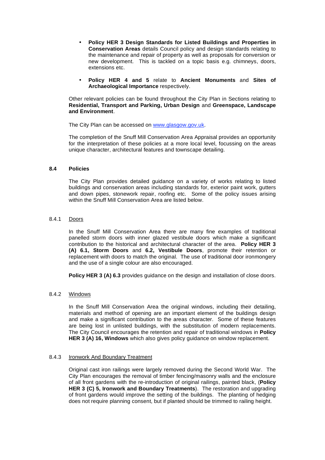- **Policy HER 3 Design Standards for Listed Buildings and Properties in Conservation Areas** details Council policy and design standards relating to the maintenance and repair of property as well as proposals for conversion or new development. This is tackled on a topic basis e.g. chimneys, doors, extensions etc.
- **Policy HER 4 and 5** relate to **Ancient Monuments** and **Sites of Archaeological Importance** respectively.

Other relevant policies can be found throughout the City Plan in Sections relating to **Residential, Transport and Parking, Urban Design** and **Greenspace, Landscape and Environment**.

The City Plan can be accessed on www.glasgow.gov.uk.

The completion of the Snuff Mill Conservation Area Appraisal provides an opportunity for the interpretation of these policies at a more local level, focussing on the areas unique character, architectural features and townscape detailing.

#### **8.4 Policies**

The City Plan provides detailed guidance on a variety of works relating to listed buildings and conservation areas including standards for, exterior paint work, gutters and down pipes, stonework repair, roofing etc. Some of the policy issues arising within the Snuff Mill Conservation Area are listed below.

# 8.4.1 Doors

In the Snuff Mill Conservation Area there are many fine examples of traditional panelled storm doors with inner glazed vestibule doors which make a significant contribution to the historical and architectural character of the area. **Policy HER 3 (A) 6.1, Storm Doors** and **6.2, Vestibule Doors**, promote their retention or replacement with doors to match the original. The use of traditional door ironmongery and the use of a single colour are also encouraged.

**Policy HER 3 (A) 6.3** provides guidance on the design and installation of close doors.

#### 8.4.2 Windows

In the Snuff Mill Conservation Area the original windows, including their detailing, materials and method of opening are an important element of the buildings design and make a significant contribution to the areas character. Some of these features are being lost in unlisted buildings, with the substitution of modern replacements. The City Council encourages the retention and repair of traditional windows in **Policy HER 3 (A) 16, Windows** which also gives policy guidance on window replacement.

#### 8.4.3 Ironwork And Boundary Treatment

Original cast iron railings were largely removed during the Second World War. The City Plan encourages the removal of timber fencing/masonry walls and the enclosure of all front gardens with the re-introduction of original railings, painted black, (**Policy HER 3 (C) 5, Ironwork and Boundary Treatments**). The restoration and upgrading of front gardens would improve the setting of the buildings. The planting of hedging does not require planning consent, but if planted should be trimmed to railing height.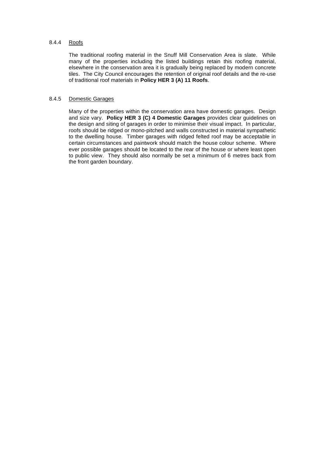#### 8.4.4 Roofs

The traditional roofing material in the Snuff Mill Conservation Area is slate. While many of the properties including the listed buildings retain this roofing material, elsewhere in the conservation area it is gradually being replaced by modern concrete tiles. The City Council encourages the retention of original roof details and the re-use of traditional roof materials in **Policy HER 3 (A) 11 Roofs**.

### 8.4.5 Domestic Garages

Many of the properties within the conservation area have domestic garages. Design and size vary. **Policy HER 3 (C) 4 Domestic Garages** provides clear guidelines on the design and siting of garages in order to minimise their visual impact. In particular, roofs should be ridged or mono-pitched and walls constructed in material sympathetic to the dwelling house. Timber garages with ridged felted roof may be acceptable in certain circumstances and paintwork should match the house colour scheme. Where ever possible garages should be located to the rear of the house or where least open to public view. They should also normally be set a minimum of 6 metres back from the front garden boundary.